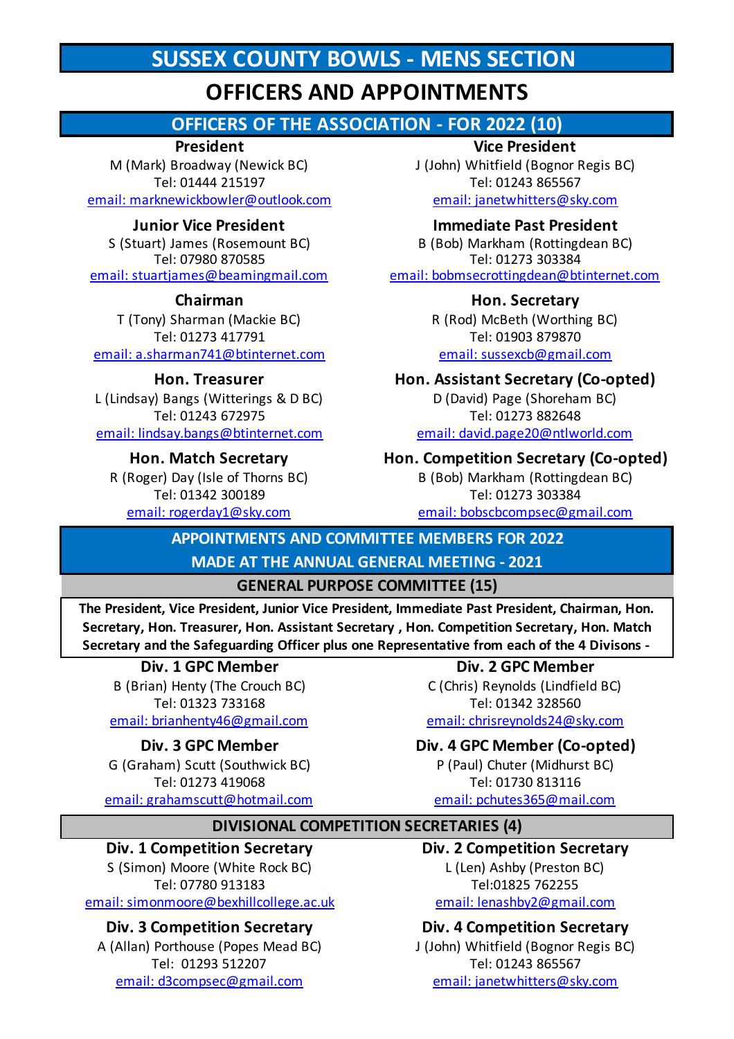# **SUSSEX COUNTY BOWLS - MENS SECTION**

# **OFFICERS AND APPOINTMENTS**

## **OFFICERS OF THE ASSOCIATION - FOR 2022 (10)**

### **President**

M (Mark) Broadway (Newick BC) Tel: 01444 215197 email: marknewickbowler@outlook.com

### **Junior Vice President**

S (Stuart) James (Rosemount BC) Tel: 07980 870585 email: stuartjames@beamingmail.com

### **Chairman**

T (Tony) Sharman (Mackie BC) Tel: 01273 417791 email: a.sharman741@btinternet.com

### **Hon. Treasurer**

email: lindsay.bangs@btinternet.com L (Lindsay) Bangs (Witterings & D BC) Tel: 01243 672975

### **Hon. Match Secretary**

R (Roger) Day (Isle of Thorns BC) Tel: 01342 300189

### **Vice President**

J (John) Whitfield (Bognor Regis BC) Tel: 01243 865567 email: janetwhitters@sky.com

### **Immediate Past President**

B (Bob) Markham (Rottingdean BC) Tel: 01273 303384 email: bobmsecrottingdean@btinternet.com

### **Hon. Secretary**

R (Rod) McBeth (Worthing BC) Tel: 01903 879870 email: sussexcb@gmail.com

### **Hon. Assistant Secretary (Co-opted)**

D (David) Page (Shoreham BC) Tel: 01273 882648 email: david.page20@ntlworld.com

### **Hon. Competition Secretary (Co-opted)**

B (Bob) Markham (Rottingdean BC) Tel: 01273 303384 email: rogerday1@sky.com email: bobscbcompsec@gmail.com

### **APPOINTMENTS AND COMMITTEE MEMBERS FOR 2022**

### **MADE AT THE ANNUAL GENERAL MEETING - 2021**

### **GENERAL PURPOSE COMMITTEE (15)**

**The President, Vice President, Junior Vice President, Immediate Past President, Chairman, Hon. Secretary, Hon. Treasurer, Hon. Assistant Secretary , Hon. Competition Secretary, Hon. Match Secretary and the Safeguarding Officer plus one Representative from each of the 4 Divisons -** 

### **Div. 1 GPC Member Div. 2 GPC Member**

B (Brian) Henty (The Crouch BC) C (Chris) Reynolds (Lindfield BC) Tel: 01323 733168 Tel: 01342 328560 email: brianhenty46@gmail.com email: chrisreynolds24@sky.com

G (Graham) Scutt (Southwick BC) P (Paul) Chuter (Midhurst BC) Tel: 01273 419068 Tel: 01730 813116 email: grahamscutt@hotmail.com email: pchutes365@mail.com

### **Div. 3 GPC Member Div. 4 GPC Member (Co-opted)**

### **DIVISIONAL COMPETITION SECRETARIES (4)**

# **Div. 1 Competition Secretary Div. 2 Competition Secretary**

S (Simon) Moore (White Rock BC) L (Len) Ashby (Preston BC) Tel: 07780 913183 Tel:01825 762255

A (Allan) Porthouse (Popes Mead BC) J (John) Whitfield (Bognor Regis BC)

email: simonmoore@bexhillcollege.ac.uk email: lenashby2@gmail.com

### **Div. 3 Competition Secretary Div. 4 Competition Secretary**

Tel: 01293 512207 Tel: 01243 865567 email: d3compsec@gmail.com email: janetwhitters@sky.com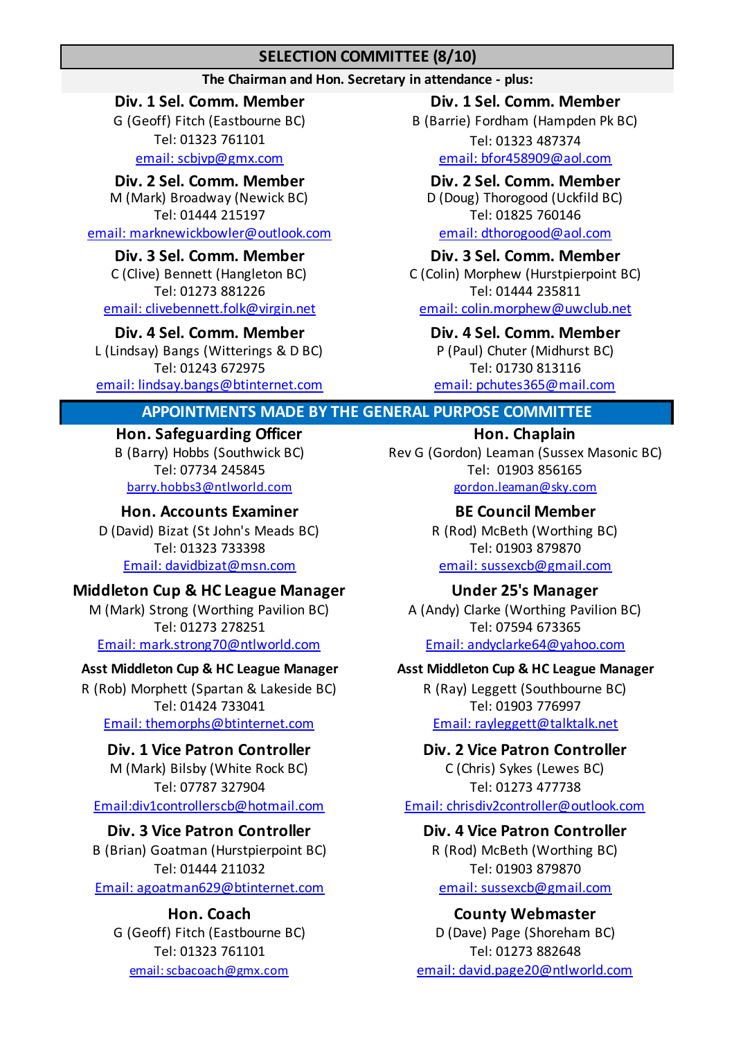### **SELECTION COMMITTEE (8/10)**

### **The Chairman and Hon. Secretary in attendance - plus:**

M (Mark) Broadway (Newick BC) D (Doug) Thorogood (Uckfild BC) Tel: 01444 215197 Tel: 01825 760146

email: marknewickbowler@outlook.com email: dthorogood@aol.com

C (Clive) Bennett (Hangleton BC) C (Colin) Morphew (Hurstpierpoint BC) email: clivebennett.folk@virgin.net email: colin.morphew@uwclub.net

Tel: 01243 672975 Tel: 01730 813116 L (Lindsay) Bangs (Witterings & D BC) P (Paul) Chuter (Midhurst BC) email: lindsay.bangs@btinternet.com email: pchutes365@mail.com

### **Div. 1 Sel. Comm. Member Div. 1 Sel. Comm. Member**

Tel: 01323 761101 Tel: 01323 487374 email: scbjvp@gmx.com email: bfor458909@aol.com G (Geoff) Fitch (Eastbourne BC) B (Barrie) Fordham (Hampden Pk BC)

**Div. 2 Sel. Comm. Member Div. 2 Sel. Comm. Member**

# **Div. 3 Sel. Comm. Member Div. 3 Sel. Comm. Member**

Tel: 01273 881226 Tel: 01444 235811

# **Div. 4 Sel. Comm. Member Div. 4 Sel. Comm. Member**

### **APPOINTMENTS MADE BY THE GENERAL PURPOSE COMMITTEE**

# **Hon. Safeguarding Officer Hon. Chaplain**

# **Hon. Accounts Examiner BE Council Member**

Email: davidbizat@msn.com email: sussexcb@gmail.com Tel: 01323 733398 Tel: 01903 879870

### **Middleton Cup & HC League Manager Under 25's Manager**

M (Mark) Strong (Worthing Pavilion BC) <br>A (Andy) Clarke (Worthing Pavilion BC) Tel: 01273 278251 Tel: 07594 673365

Tel: 01424 733041 Tel: 01903 776997 Email: themorphs@btinternet.com Email: rayleggett@talktalk.net R (Rob) Morphett (Spartan & Lakeside BC) R (Ray) Leggett (Southbourne BC)

M (Mark) Bilsby (White Rock BC) C (Chris) Sykes (Lewes BC) Tel: 07787 327904 Tel: 01273 477738

Email: agoatman629@btinternet.com email: sussexcb@gmail.com B (Brian) Goatman (Hurstpierpoint BC) R (Rod) McBeth (Worthing BC) Tel: 01444 211032 Tel: 01903 879870

B (Barry) Hobbs (Southwick BC) Rev G (Gordon) Leaman (Sussex Masonic BC) Tel: 07734 245845 Tel: 01903 856165 barry.hobbs3@ntlworld.com gordon.leaman@sky.com

D (David) Bizat (St John's Meads BC) R (Rod) McBeth (Worthing BC)

Email: mark.strong70@ntlworld.com Email: andyclarke64@yahoo.com

### **Asst Middleton Cup & HC League Manager Asst Middleton Cup & HC League Manager**

### **Div. 1 Vice Patron Controller Div. 2 Vice Patron Controller**

Email:div1controllerscb@hotmail.com Email: chrisdiv2controller@outlook.com

### **Div. 3 Vice Patron Controller Div. 4 Vice Patron Controller**

### **Hon. Coach County Webmaster**

G (Geoff) Fitch (Eastbourne BC)  $D(Dave)$  Page (Shoreham BC) Tel: 01323 761101 Tel: 01273 882648 email: scbacoach@gmx.com email: david.page20@ntlworld.com